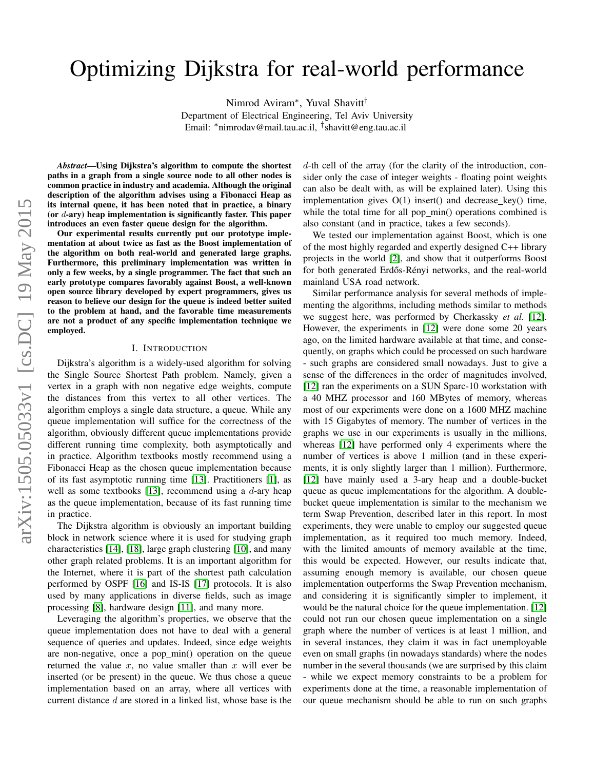# Optimizing Dijkstra for real-world performance

Nimrod Aviram<sup>∗</sup> , Yuval Shavitt†

Department of Electrical Engineering, Tel Aviv University Email: <sup>∗</sup>nimrodav@mail.tau.ac.il, † shavitt@eng.tau.ac.il

*Abstract*—Using Dijkstra's algorithm to compute the shortest paths in a graph from a single source node to all other nodes is common practice in industry and academia. Although the original description of the algorithm advises using a Fibonacci Heap as its internal queue, it has been noted that in practice, a binary (or  $d$ -ary) heap implementation is significantly faster. This paper introduces an even faster queue design for the algorithm.

Our experimental results currently put our prototype implementation at about twice as fast as the Boost implementation of the algorithm on both real-world and generated large graphs. Furthermore, this preliminary implementation was written in only a few weeks, by a single programmer. The fact that such an early prototype compares favorably against Boost, a well-known open source library developed by expert programmers, gives us reason to believe our design for the queue is indeed better suited to the problem at hand, and the favorable time measurements are not a product of any specific implementation technique we employed.

## I. INTRODUCTION

Dijkstra's algorithm is a widely-used algorithm for solving the Single Source Shortest Path problem. Namely, given a vertex in a graph with non negative edge weights, compute the distances from this vertex to all other vertices. The algorithm employs a single data structure, a queue. While any queue implementation will suffice for the correctness of the algorithm, obviously different queue implementations provide different running time complexity, both asymptotically and in practice. Algorithm textbooks mostly recommend using a Fibonacci Heap as the chosen queue implementation because of its fast asymptotic running time [\[13\]](#page-5-0). Practitioners [\[1\]](#page-5-1), as well as some textbooks [\[13\]](#page-5-0), recommend using a  $d$ -ary heap as the queue implementation, because of its fast running time in practice.

The Dijkstra algorithm is obviously an important building block in network science where it is used for studying graph characteristics [\[14\]](#page-5-2), [\[18\]](#page-5-3), large graph clustering [\[10\]](#page-5-4), and many other graph related problems. It is an important algorithm for the Internet, where it is part of the shortest path calculation performed by OSPF [\[16\]](#page-5-5) and IS-IS [\[17\]](#page-5-6) protocols. It is also used by many applications in diverse fields, such as image processing [\[8\]](#page-5-7), hardware design [\[11\]](#page-5-8), and many more.

Leveraging the algorithm's properties, we observe that the queue implementation does not have to deal with a general sequence of queries and updates. Indeed, since edge weights are non-negative, once a pop min() operation on the queue returned the value  $x$ , no value smaller than  $x$  will ever be inserted (or be present) in the queue. We thus chose a queue implementation based on an array, where all vertices with current distance d are stored in a linked list, whose base is the d-th cell of the array (for the clarity of the introduction, consider only the case of integer weights - floating point weights can also be dealt with, as will be explained later). Using this implementation gives O(1) insert() and decrease key() time, while the total time for all pop\_min() operations combined is also constant (and in practice, takes a few seconds).

We tested our implementation against Boost, which is one of the most highly regarded and expertly designed C++ library projects in the world [\[2\]](#page-5-9), and show that it outperforms Boost for both generated Erdős-Rényi networks, and the real-world mainland USA road network.

Similar performance analysis for several methods of implementing the algorithms, including methods similar to methods we suggest here, was performed by Cherkassky *et al.* [\[12\]](#page-5-10). However, the experiments in [\[12\]](#page-5-10) were done some 20 years ago, on the limited hardware available at that time, and consequently, on graphs which could be processed on such hardware - such graphs are considered small nowadays. Just to give a sense of the differences in the order of magnitudes involved, [\[12\]](#page-5-10) ran the experiments on a SUN Sparc-10 workstation with a 40 MHZ processor and 160 MBytes of memory, whereas most of our experiments were done on a 1600 MHZ machine with 15 Gigabytes of memory. The number of vertices in the graphs we use in our experiments is usually in the millions, whereas [\[12\]](#page-5-10) have performed only 4 experiments where the number of vertices is above 1 million (and in these experiments, it is only slightly larger than 1 million). Furthermore, [\[12\]](#page-5-10) have mainly used a 3-ary heap and a double-bucket queue as queue implementations for the algorithm. A doublebucket queue implementation is similar to the mechanism we term Swap Prevention, described later in this report. In most experiments, they were unable to employ our suggested queue implementation, as it required too much memory. Indeed, with the limited amounts of memory available at the time, this would be expected. However, our results indicate that, assuming enough memory is available, our chosen queue implementation outperforms the Swap Prevention mechanism, and considering it is significantly simpler to implement, it would be the natural choice for the queue implementation. [\[12\]](#page-5-10) could not run our chosen queue implementation on a single graph where the number of vertices is at least 1 million, and in several instances, they claim it was in fact unemployable even on small graphs (in nowadays standards) where the nodes number in the several thousands (we are surprised by this claim while we expect memory constraints to be a problem for experiments done at the time, a reasonable implementation of our queue mechanism should be able to run on such graphs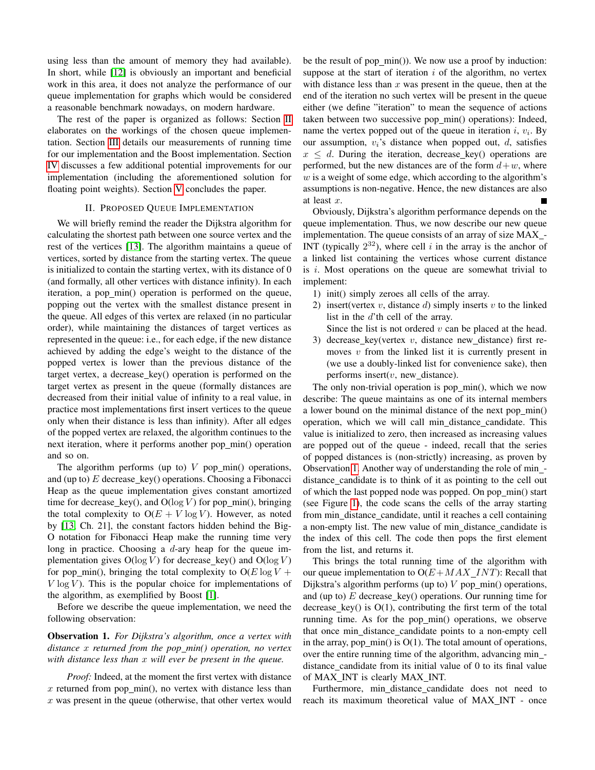using less than the amount of memory they had available). In short, while [\[12\]](#page-5-10) is obviously an important and beneficial work in this area, it does not analyze the performance of our queue implementation for graphs which would be considered a reasonable benchmark nowadays, on modern hardware.

The rest of the paper is organized as follows: Section [II](#page-1-0) elaborates on the workings of the chosen queue implementation. Section [III](#page-2-0) details our measurements of running time for our implementation and the Boost implementation. Section [IV](#page-4-0) discusses a few additional potential improvements for our implementation (including the aforementioned solution for floating point weights). Section [V](#page-5-11) concludes the paper.

## II. PROPOSED QUEUE IMPLEMENTATION

<span id="page-1-0"></span>We will briefly remind the reader the Dijkstra algorithm for calculating the shortest path between one source vertex and the rest of the vertices [\[13\]](#page-5-0). The algorithm maintains a queue of vertices, sorted by distance from the starting vertex. The queue is initialized to contain the starting vertex, with its distance of 0 (and formally, all other vertices with distance infinity). In each iteration, a pop\_min() operation is performed on the queue, popping out the vertex with the smallest distance present in the queue. All edges of this vertex are relaxed (in no particular order), while maintaining the distances of target vertices as represented in the queue: i.e., for each edge, if the new distance achieved by adding the edge's weight to the distance of the popped vertex is lower than the previous distance of the target vertex, a decrease key() operation is performed on the target vertex as present in the queue (formally distances are decreased from their initial value of infinity to a real value, in practice most implementations first insert vertices to the queue only when their distance is less than infinity). After all edges of the popped vertex are relaxed, the algorithm continues to the next iteration, where it performs another pop\_min() operation and so on.

The algorithm performs (up to)  $V$  pop\_min() operations, and (up to)  $E$  decrease\_key() operations. Choosing a Fibonacci Heap as the queue implementation gives constant amortized time for decrease\_key(), and  $O(log V)$  for pop\_min(), bringing the total complexity to  $O(E + V \log V)$ . However, as noted by [\[13,](#page-5-0) Ch. 21], the constant factors hidden behind the Big-O notation for Fibonacci Heap make the running time very long in practice. Choosing a  $d$ -ary heap for the queue implementation gives  $O(log V)$  for decrease\_key() and  $O(log V)$ for pop min(), bringing the total complexity to  $O(E \log V +$  $V \log V$ ). This is the popular choice for implementations of the algorithm, as exemplified by Boost [\[1\]](#page-5-1).

Before we describe the queue implementation, we need the following observation:

<span id="page-1-1"></span>Observation 1. *For Dijkstra's algorithm, once a vertex with distance* x *returned from the pop min() operation, no vertex with distance less than* x *will ever be present in the queue.*

*Proof:* Indeed, at the moment the first vertex with distance  $x$  returned from pop\_min(), no vertex with distance less than  $x$  was present in the queue (otherwise, that other vertex would be the result of pop min()). We now use a proof by induction: suppose at the start of iteration  $i$  of the algorithm, no vertex with distance less than  $x$  was present in the queue, then at the end of the iteration no such vertex will be present in the queue either (we define "iteration" to mean the sequence of actions taken between two successive pop min() operations): Indeed, name the vertex popped out of the queue in iteration  $i, v_i$ . By our assumption,  $v_i$ 's distance when popped out,  $d$ , satisfies  $x \leq d$ . During the iteration, decrease key() operations are performed, but the new distances are of the form  $d+w$ , where  $w$  is a weight of some edge, which according to the algorithm's assumptions is non-negative. Hence, the new distances are also at least x.

Obviously, Dijkstra's algorithm performance depends on the queue implementation. Thus, we now describe our new queue implementation. The queue consists of an array of size MAX\_-INT (typically  $2^{32}$ ), where cell i in the array is the anchor of a linked list containing the vertices whose current distance is  $i$ . Most operations on the queue are somewhat trivial to implement:

- 1) init() simply zeroes all cells of the array.
- 2) insert(vertex  $v$ , distance  $d$ ) simply inserts  $v$  to the linked list in the d'th cell of the array.
	- Since the list is not ordered  $v$  can be placed at the head.
- 3) decrease\_key(vertex  $v$ , distance new\_distance) first removes  $v$  from the linked list it is currently present in (we use a doubly-linked list for convenience sake), then performs insert $(v, new_d$  istance).

The only non-trivial operation is pop min(), which we now describe: The queue maintains as one of its internal members a lower bound on the minimal distance of the next pop min() operation, which we will call min distance candidate. This value is initialized to zero, then increased as increasing values are popped out of the queue - indeed, recall that the series of popped distances is (non-strictly) increasing, as proven by Observation [1.](#page-1-1) Another way of understanding the role of min distance candidate is to think of it as pointing to the cell out of which the last popped node was popped. On pop\_min() start (see Figure [1\)](#page-2-1), the code scans the cells of the array starting from min distance candidate, until it reaches a cell containing a non-empty list. The new value of min distance candidate is the index of this cell. The code then pops the first element from the list, and returns it.

This brings the total running time of the algorithm with our queue implementation to  $O(E+MAX\_INT)$ : Recall that Dijkstra's algorithm performs (up to)  $V$  pop min() operations, and (up to)  $E$  decrease\_key() operations. Our running time for decrease key() is  $O(1)$ , contributing the first term of the total running time. As for the pop\_min() operations, we observe that once min distance candidate points to a non-empty cell in the array,  $pop\_min()$  is  $O(1)$ . The total amount of operations, over the entire running time of the algorithm, advancing min distance candidate from its initial value of 0 to its final value of MAX INT is clearly MAX INT.

Furthermore, min\_distance\_candidate does not need to reach its maximum theoretical value of MAX INT - once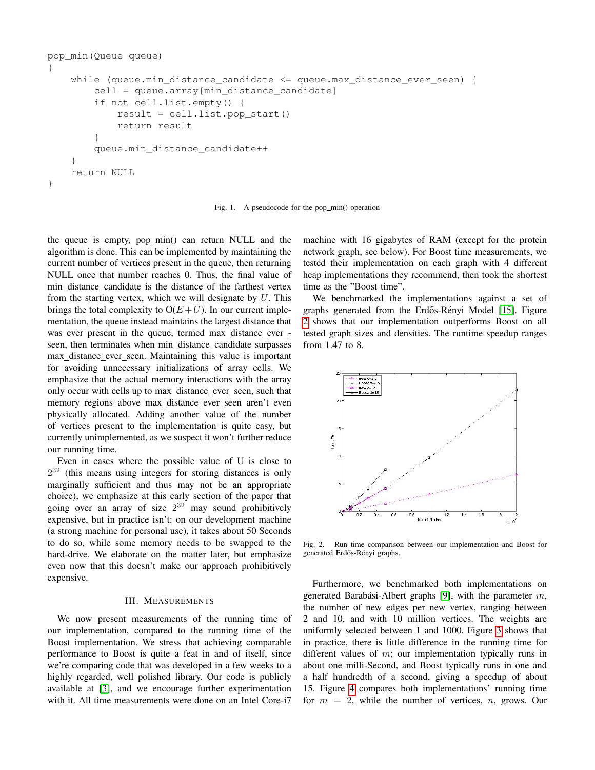```
pop_min(Queue queue)
{
    while (queue.min_distance_candidate <= queue.max_distance_ever_seen) {
        cell = queue.array[min_distance_candidate]
        if not cell.list.empty() {
            result = cell.list.pop_start()
            return result
        }
        queue.min_distance_candidate++
    }
    return NULL
}
```
<span id="page-2-1"></span>Fig. 1. A pseudocode for the pop\_min() operation

the queue is empty, pop min() can return NULL and the algorithm is done. This can be implemented by maintaining the current number of vertices present in the queue, then returning NULL once that number reaches 0. Thus, the final value of min distance candidate is the distance of the farthest vertex from the starting vertex, which we will designate by  $U$ . This brings the total complexity to  $O(E+U)$ . In our current implementation, the queue instead maintains the largest distance that was ever present in the queue, termed max distance ever seen, then terminates when min distance candidate surpasses max distance ever seen. Maintaining this value is important for avoiding unnecessary initializations of array cells. We emphasize that the actual memory interactions with the array only occur with cells up to max distance ever seen, such that memory regions above max distance ever seen aren't even physically allocated. Adding another value of the number of vertices present to the implementation is quite easy, but currently unimplemented, as we suspect it won't further reduce our running time.

Even in cases where the possible value of U is close to  $2^{32}$  (this means using integers for storing distances is only marginally sufficient and thus may not be an appropriate choice), we emphasize at this early section of the paper that going over an array of size  $2^{32}$  may sound prohibitively expensive, but in practice isn't: on our development machine (a strong machine for personal use), it takes about 50 Seconds to do so, while some memory needs to be swapped to the hard-drive. We elaborate on the matter later, but emphasize even now that this doesn't make our approach prohibitively expensive.

#### III. MEASUREMENTS

<span id="page-2-0"></span>We now present measurements of the running time of our implementation, compared to the running time of the Boost implementation. We stress that achieving comparable performance to Boost is quite a feat in and of itself, since we're comparing code that was developed in a few weeks to a highly regarded, well polished library. Our code is publicly available at [\[3\]](#page-5-12), and we encourage further experimentation with it. All time measurements were done on an Intel Core-i7

machine with 16 gigabytes of RAM (except for the protein network graph, see below). For Boost time measurements, we tested their implementation on each graph with 4 different heap implementations they recommend, then took the shortest time as the "Boost time".

We benchmarked the implementations against a set of graphs generated from the Erdős-Rényi Model [\[15\]](#page-5-13). Figure [2](#page-2-2) shows that our implementation outperforms Boost on all tested graph sizes and densities. The runtime speedup ranges from 1.47 to 8.



<span id="page-2-2"></span>Fig. 2. Run time comparison between our implementation and Boost for generated Erdős-Rényi graphs.

Furthermore, we benchmarked both implementations on generated Barabási-Albert graphs [\[9\]](#page-5-14), with the parameter  $m$ , the number of new edges per new vertex, ranging between 2 and 10, and with 10 million vertices. The weights are uniformly selected between 1 and 1000. Figure [3](#page-3-0) shows that in practice, there is little difference in the running time for different values of  $m$ ; our implementation typically runs in about one milli-Second, and Boost typically runs in one and a half hundredth of a second, giving a speedup of about 15. Figure [4](#page-3-1) compares both implementations' running time for  $m = 2$ , while the number of vertices, n, grows. Our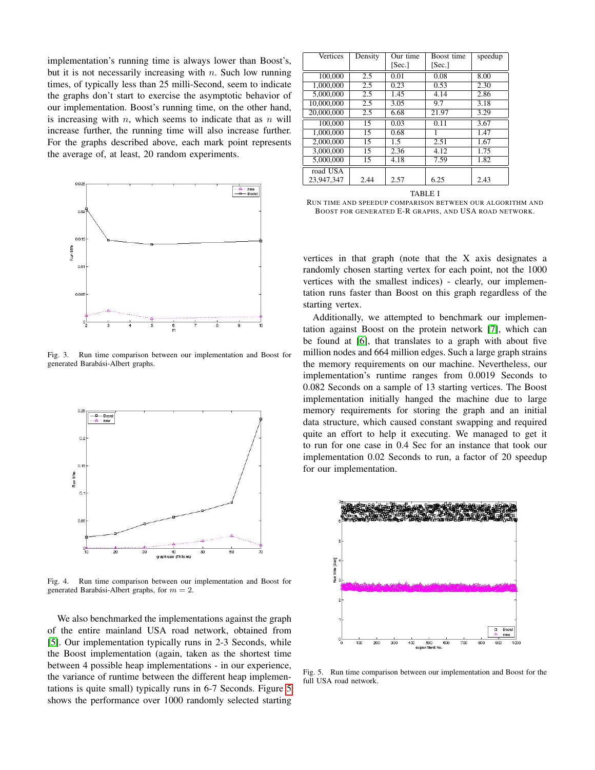implementation's running time is always lower than Boost's, but it is not necessarily increasing with  $n$ . Such low running times, of typically less than 25 milli-Second, seem to indicate the graphs don't start to exercise the asymptotic behavior of our implementation. Boost's running time, on the other hand, is increasing with  $n$ , which seems to indicate that as  $n$  will increase further, the running time will also increase further. For the graphs described above, each mark point represents the average of, at least, 20 random experiments.



<span id="page-3-0"></span>Fig. 3. Run time comparison between our implementation and Boost for generated Barabási-Albert graphs.



<span id="page-3-1"></span>Fig. 4. Run time comparison between our implementation and Boost for generated Barabási-Albert graphs, for  $m = 2$ .

We also benchmarked the implementations against the graph of the entire mainland USA road network, obtained from [\[5\]](#page-5-15). Our implementation typically runs in 2-3 Seconds, while the Boost implementation (again, taken as the shortest time between 4 possible heap implementations - in our experience, the variance of runtime between the different heap implementations is quite small) typically runs in 6-7 Seconds. Figure [5](#page-3-2) shows the performance over 1000 randomly selected starting

| Vertices   | Density | Our time | Boost time | speedup |
|------------|---------|----------|------------|---------|
|            |         | [Sec.]   | [Sec.]     |         |
| 100,000    | 2.5     | 0.01     | 0.08       | 8.00    |
| 1.000.000  | 2.5     | 0.23     | 0.53       | 2.30    |
| 5,000,000  | 2.5     | 1.45     | 4.14       | 2.86    |
| 10,000,000 | 2.5     | 3.05     | 9.7        | 3.18    |
| 20,000,000 | 2.5     | 6.68     | 21.97      | 3.29    |
| 100,000    | 15      | 0.03     | 0.11       | 3.67    |
| 1.000.000  | 15      | 0.68     |            | 1.47    |
| 2,000,000  | 15      | 1.5      | 2.51       | 1.67    |
| 3,000,000  | 15      | 2.36     | 4.12       | 1.75    |
| 5,000,000  | 15      | 4.18     | 7.59       | 1.82    |
| road USA   |         |          |            |         |
| 23.947.347 | 2.44    | 2.57     | 6.25       | 2.43    |

TABLE I

RUN TIME AND SPEEDUP COMPARISON BETWEEN OUR ALGORITHM AND BOOST FOR GENERATED E-R GRAPHS, AND USA ROAD NETWORK.

vertices in that graph (note that the X axis designates a randomly chosen starting vertex for each point, not the 1000 vertices with the smallest indices) - clearly, our implementation runs faster than Boost on this graph regardless of the starting vertex.

Additionally, we attempted to benchmark our implementation against Boost on the protein network [\[7\]](#page-5-16), which can be found at [\[6\]](#page-5-17), that translates to a graph with about five million nodes and 664 million edges. Such a large graph strains the memory requirements on our machine. Nevertheless, our implementation's runtime ranges from 0.0019 Seconds to 0.082 Seconds on a sample of 13 starting vertices. The Boost implementation initially hanged the machine due to large memory requirements for storing the graph and an initial data structure, which caused constant swapping and required quite an effort to help it executing. We managed to get it to run for one case in 0.4 Sec for an instance that took our implementation 0.02 Seconds to run, a factor of 20 speedup for our implementation.



<span id="page-3-2"></span>Fig. 5. Run time comparison between our implementation and Boost for the full USA road network.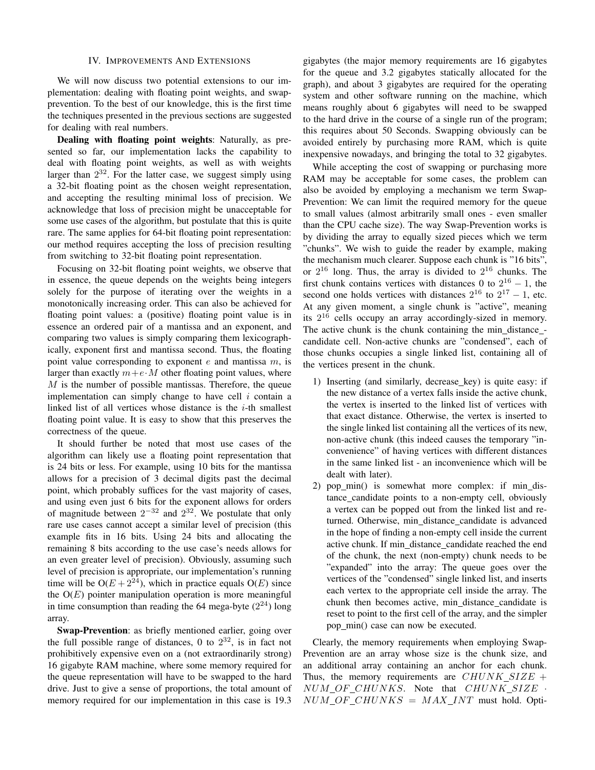#### IV. IMPROVEMENTS AND EXTENSIONS

<span id="page-4-0"></span>We will now discuss two potential extensions to our implementation: dealing with floating point weights, and swapprevention. To the best of our knowledge, this is the first time the techniques presented in the previous sections are suggested for dealing with real numbers.

Dealing with floating point weights: Naturally, as presented so far, our implementation lacks the capability to deal with floating point weights, as well as with weights larger than  $2^{32}$ . For the latter case, we suggest simply using a 32-bit floating point as the chosen weight representation, and accepting the resulting minimal loss of precision. We acknowledge that loss of precision might be unacceptable for some use cases of the algorithm, but postulate that this is quite rare. The same applies for 64-bit floating point representation: our method requires accepting the loss of precision resulting from switching to 32-bit floating point representation.

Focusing on 32-bit floating point weights, we observe that in essence, the queue depends on the weights being integers solely for the purpose of iterating over the weights in a monotonically increasing order. This can also be achieved for floating point values: a (positive) floating point value is in essence an ordered pair of a mantissa and an exponent, and comparing two values is simply comparing them lexicographically, exponent first and mantissa second. Thus, the floating point value corresponding to exponent  $e$  and mantissa  $m$ , is larger than exactly  $m + e \cdot M$  other floating point values, where  $M$  is the number of possible mantissas. Therefore, the queue implementation can simply change to have cell  $i$  contain a linked list of all vertices whose distance is the  $i$ -th smallest floating point value. It is easy to show that this preserves the correctness of the queue.

It should further be noted that most use cases of the algorithm can likely use a floating point representation that is 24 bits or less. For example, using 10 bits for the mantissa allows for a precision of 3 decimal digits past the decimal point, which probably suffices for the vast majority of cases, and using even just 6 bits for the exponent allows for orders of magnitude between  $2^{-32}$  and  $2^{32}$ . We postulate that only rare use cases cannot accept a similar level of precision (this example fits in 16 bits. Using 24 bits and allocating the remaining 8 bits according to the use case's needs allows for an even greater level of precision). Obviously, assuming such level of precision is appropriate, our implementation's running time will be  $O(E + 2^{24})$ , which in practice equals  $O(E)$  since the  $O(E)$  pointer manipulation operation is more meaningful in time consumption than reading the 64 mega-byte  $(2^{24})$  long array.

Swap-Prevention: as briefly mentioned earlier, going over the full possible range of distances, 0 to  $2^{32}$ , is in fact not prohibitively expensive even on a (not extraordinarily strong) 16 gigabyte RAM machine, where some memory required for the queue representation will have to be swapped to the hard drive. Just to give a sense of proportions, the total amount of memory required for our implementation in this case is 19.3

gigabytes (the major memory requirements are 16 gigabytes for the queue and 3.2 gigabytes statically allocated for the graph), and about 3 gigabytes are required for the operating system and other software running on the machine, which means roughly about 6 gigabytes will need to be swapped to the hard drive in the course of a single run of the program; this requires about 50 Seconds. Swapping obviously can be avoided entirely by purchasing more RAM, which is quite inexpensive nowadays, and bringing the total to 32 gigabytes.

While accepting the cost of swapping or purchasing more RAM may be acceptable for some cases, the problem can also be avoided by employing a mechanism we term Swap-Prevention: We can limit the required memory for the queue to small values (almost arbitrarily small ones - even smaller than the CPU cache size). The way Swap-Prevention works is by dividing the array to equally sized pieces which we term "chunks". We wish to guide the reader by example, making the mechanism much clearer. Suppose each chunk is "16 bits", or  $2^{16}$  long. Thus, the array is divided to  $2^{16}$  chunks. The first chunk contains vertices with distances 0 to  $2^{16} - 1$ , the second one holds vertices with distances  $2^{16}$  to  $2^{17} - 1$ , etc. At any given moment, a single chunk is "active", meaning its  $2^{16}$  cells occupy an array accordingly-sized in memory. The active chunk is the chunk containing the min\_distance\_candidate cell. Non-active chunks are "condensed", each of those chunks occupies a single linked list, containing all of the vertices present in the chunk.

- 1) Inserting (and similarly, decrease key) is quite easy: if the new distance of a vertex falls inside the active chunk, the vertex is inserted to the linked list of vertices with that exact distance. Otherwise, the vertex is inserted to the single linked list containing all the vertices of its new, non-active chunk (this indeed causes the temporary "inconvenience" of having vertices with different distances in the same linked list - an inconvenience which will be dealt with later).
- 2) pop\_min() is somewhat more complex: if min\_distance candidate points to a non-empty cell, obviously a vertex can be popped out from the linked list and returned. Otherwise, min distance candidate is advanced in the hope of finding a non-empty cell inside the current active chunk. If min\_distance\_candidate reached the end of the chunk, the next (non-empty) chunk needs to be "expanded" into the array: The queue goes over the vertices of the "condensed" single linked list, and inserts each vertex to the appropriate cell inside the array. The chunk then becomes active, min\_distance\_candidate is reset to point to the first cell of the array, and the simpler pop\_min() case can now be executed.

Clearly, the memory requirements when employing Swap-Prevention are an array whose size is the chunk size, and an additional array containing an anchor for each chunk. Thus, the memory requirements are  $CHUNK\_SIZE$  +  $NUM\_OF\_CHUNKS$ . Note that  $CHUNK\_SIZE$ .  $NUM\_OF\_CHUNKS = MAX\_INT$  must hold. Opti